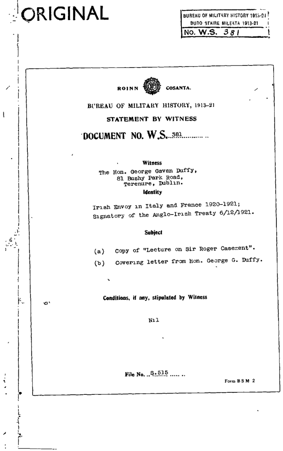|                                         | ORIGINAL<br>BUREAU OF MILITARY HISTORY 1915-21<br>BURO STAIRE MILEATA 1913-21<br>No. W.S. 381                                                       |
|-----------------------------------------|-----------------------------------------------------------------------------------------------------------------------------------------------------|
|                                         | COSANTA.<br>ROINN                                                                                                                                   |
| ţ                                       | BUREAU OF MILITARY HISTORY, 1913-21<br>STATEMENT BY WITNESS<br>DOCUMENT NO. W.S. 381.                                                               |
| ٠                                       | Witness<br>The Hon. George Gaven Duffy,<br>81 Bushy Park Road,<br>Terenure, Dublin.<br>ldentity                                                     |
|                                         | Irısh Envoy ın Italy and France 1920-1921;<br>Signatory of the Anglo-Irish Treaty 6/12/1921.<br>Subject<br>Copy of "Lecture on Sir Roger Casement". |
|                                         | (a)<br>Covering letter from Hon. George G. Duffy.<br>(b)<br>7                                                                                       |
| ۴.                                      | Conditions, if any, stipulated by Witness<br>۰ö<br>Nıl                                                                                              |
| $\overline{\mathbf{z}}$<br>$\cdot$<br>٩ | File No.  S. 515.<br>Form BSM 2                                                                                                                     |
| ∕                                       |                                                                                                                                                     |

 $\bar{\rm t}$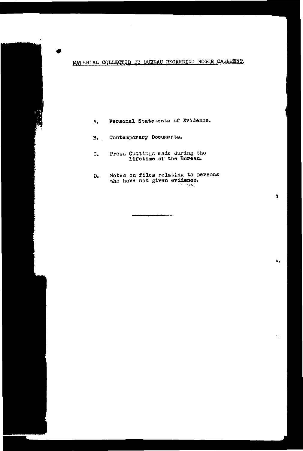MATERIAL COLLECTED BY BUREAU REGARDING ROGER CASEMENT.

| Personal Statements of Evidence.<br>А. |
|----------------------------------------|
|----------------------------------------|

- **B.** Contemporary Documents.
- Press Cuttings made during the  $C_{\bullet}$ lifetime of the Bureau.
- Notes on files relating to persons<br>who have not given evidence.  $D_{\bullet}$

<u>papa pada atau sa</u>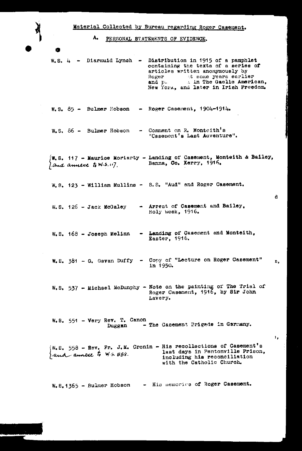A. PERSONAL STATEMENTS OF EVIDENCE.

 $\bullet$ 

W.S. 4 - Diarmuid Lynch - Distribution in 1915 of a pamphlet containing the texts of a series of articles written anonymously by Roger the Some years earlier<br>and pulling in The Gaelic American,<br>New York, and later in Irish Freedom.

 $W_1S_2$  85 - Bulmer Hobson - Roger Casement, 1904-1914.

- W.S. 86 Bulmer Hobson Comment on R. Monteith's "Casement's Last Adventure".
- W.S. 117 Maurice Moriarty Landing of Casement, Monteith & Bailey, Banna, Co. Kerry, 1916. ) and annexe to  $N(5,117)$

W.S. 123 - William Mullins - S.S. "Aud" and Roger Casement.

- Arrest of Casement and Bailey,  $W. S. 126 - Jack Medaley$ Holy Week, 1916.
- W.S. 168 Joseph Melinn Landing of Casement and Monteith, Easter, 1916.
- W.S. 381 G. Gavan Duffy Copy of "Lecture on Roger Casement" in 1950.
- W.S. 537 Michael McDunphy Note on the painting of The Trial of Roger Casement, 1916, by Sir John Lavery.

 $W_6$ . 551 - Very Rev. T. Canon Duggan - The Casement Prigade in Germany.

 $W_0$ . 558 - Rev. Fr. J.M. Cronin - His recollections of Casement's last days in Pentonville Prison, and annexe to  $W$ .  $5.558$ . including his reconciliation with the Catholic Church.

W. 8.1365 - Bulmer Hobson - His memories of Roger Casement.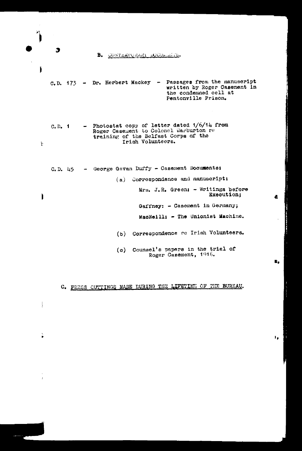B. CONTEMPORARY DOCUMENTS.

Passages from the manuscript C.D.  $173$  - Dr. Herbert Mackey written by Roger Casement in the condemned cell at Pentonville Prison.

Photostat copy of letter dated 1/6/14 from<br>Roger Casement to Colonel Warburton re  $C. D. 1$  $\blacksquare$ training of the Belfast Corps of the Irish Volunteers.

- George Gavan Duffy - Casement Documents:  $C. D. 45$ 

(a) Correspondence and manuscript;

Mrs. J.R. Green: - Writings before Execution;

Gaffney: - Casement in Germany;

MacNeill: - The Unionist Machine.

(b) Correspondence re Irish Volunteers.

(c) Counsel's papers in the trial of Roger Casement, 1916.

C. PRESS CUTTINGS MADE DURING THE LIFETIME OF THE BUREAU.

Э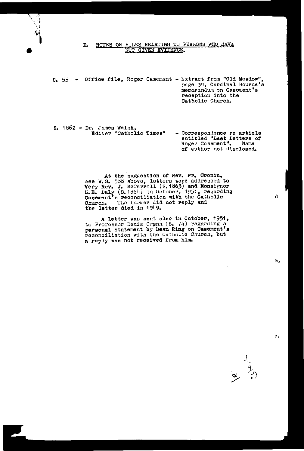NOTES ON FILES RELATING TO PERSONS WHO HAVE D. NOT GIVEN EVIDENCE.

8. 55 - Office file, Roger Casement - Extract from "Old Meadow", page 39, Cardinal Bourne's memorandum on Casement's reception into the Catholic Church.

8. 1862 - Dr. James Walsh, Editor "Catholic Times" - Correspondence re article entitled "Last Letters of Roger Casement". Name of author not disclosed.

> At the suggestion of Rev. Fr. Cronin, see W.S. 588 above, letters were addressed to<br>Very Rev. J. McCarroll (8.1863) and Monsignor<br>H.E. Daly (S.1864) in October, 1951, regarding<br>Casement's reconciliation with the Catholic Church. The former did not reply and<br>the latter died in 1949.

A letter was sent also in October, 1951, to Professor Denis Gwynn (S. 74) regarding a<br>personal statement by Dean Ring on Casement's<br>reconciliation with the Catholic Church, but a reply was not received from him.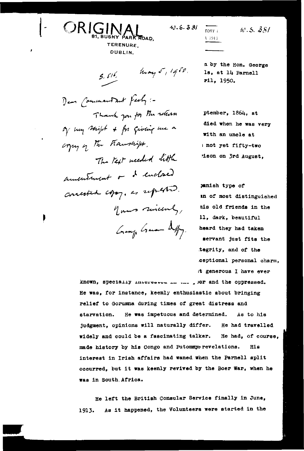

DUBLIN.

 $5.511$ 

 $\n *l* <sub>q</sub>  $\sqrt{2}$ ,  $\sqrt{2}$   $\sqrt{2}$$ 

**FORY** +

1 1913

 $W.5.381$ 

n by the Hon. George ls, at 14 Parnell ril. 1950.

ptember, 1864, at died when he was very with an uncle at not yet fifty-two ison on 3rd August.

panish type of an of most distinguished ais old friends in the 11, dark, beautiful heard they had taken servant just fits the tegrity, and of the ceptional personal charm. it generous I have ever

known, specially interested in the sor and the oppressed. He was, for instance, keenly enthusiastic about bringing relief to Gorumna during times of great distress and He was impetuous and determined. starvation. As to his judgment, opinions will naturally differ. He had travelled widely and could be a fascinating talker. He had, of course, made history by his Congo and Putomayo revelations. H1s interest in Irish affairs had waned when the Parnell split occurred, but it was keenly revived by the Boer War, when he was in South Africa.

He left the British Consular Service finally in June, As it happened, the Volunteers were started in the 1913.

Den Commandant Feely:-Thank you for the return of my saipt + for giving me a copy of the hauserift. The Kest needed little amentment or I enclosed concerted copy, as repetited. Your rinchly, Grange Game Deffy.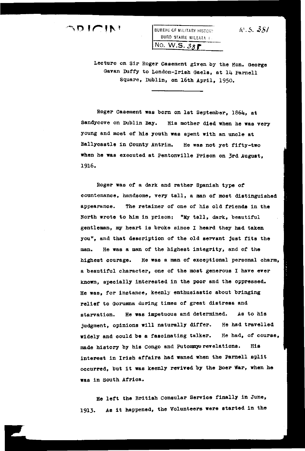BUREAU OF MILITARY HISTORY.  $h'.5.$   $38/$ BURO STAIRE MILEATA 1 -No. W.S. 38

**Lecture on Sir Roger Casement given by the Hon. George**  Gavan Duffy to London-Irish Gaels, at 14 Parnell Square, Dublin, on 16th April, 1950.

Roger casement was born on let September, 1864, at Sandycove on Dublin Bay. **His mother died when he was very**  young and most of hie youth was spent with an uncle at Ballycaatle in County Antrim. He wae not yet fifty-two when he was executed at Pentonville Prison on 3rd August, 1916.

Roger was of a dark and rather Spanish type of **countenance, handsome, very tall, a man of most distinguished appearance.** The retainer of one of his old friends in the North wrote to him in prison: "My tall, dark, beautiful gentleman, my heart is broke since I heard they had taken you", and that description of the old servant just fits the man. He was a man of the highest integrity, and of the highest courage. **He was a man of exceptional personal charm, a beautiful character, one of the moat generous I have ever**  known, specially interested in the poor and the oppressed. He was, for instance, keenly enthusiastic about bringing relief to Gorumna during times of great distress and starvation. He was impetuous and determined. As to his judgment, opinions will naturally differ. He had travelled widely and could be a fascinating talker. **He had, of course,**  made history by his Congo and Putomayo revelations. His interest in Irish affairs had waned when the Parnell split occurred, but it was keenly revived by the Boer War, when he was in south Africa.

He left the British consular Service finally in June, 1913. As it happened, the Volunteers were started in the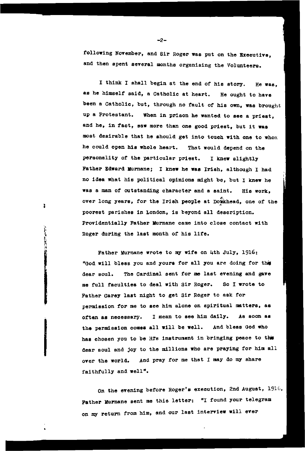following November, and Sir Roger was put on the Executive, and then spent several months organising the Volunteers.

<sup>I</sup>think I shall begin at the end of his story. **He was,**  as he himself said, a Catholic at heart. He ought to have been a catholic, but, through no fault *ot* his own, was brought **up a :Protestant. When in prison he wanted to see a priest, and he, in fact, saw more than one good priest, but it was**  most desirable that he should get into touch with one to whon. he could open his whole heart. That would depend on the personality of the particular priest. I knew slightly Father Edward Murnane; I knew he was Irish, although I had no idea what his political opinions might be, but I knew he **was a man** *of* **outstanding character and a aaint. His work,**  over long years, for the Irish people at Dorkhead, one of the  $\ddot{\phantom{0}}$ poorest perishes in London, is beyond all description. Providentially Father Murnane came into close contact with Roger during the last month of his life.

Father Murnane wrote to my wife on 4th July, 1916: "God will bless you and yours for all you are doing for this **dear soul.** The cardinal sent for me last evening and gave me full faculties to deal with Sir Roger. So I wrote to Father carey last night to get Sir Roger to ask for **permission for me to aee him alone on spiritual matters, as often as necessary.** I mean to see him daily. **.As soon aa**  the permission comes all will be well. And bleas God who has chosen you to be His instrument in bringing peace to the dear soul and joy to the millions who are praying for him all **over the world.** And pray for me that I may do my share faithfully and well".

**on the evening before Roger's execution, 2nd August,** 1916, Father Murnane sent me this letter: "I found your telegram **on my return from him, and our last interview will ever** 

-2-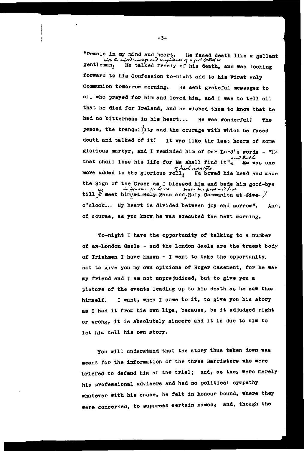"remain in my mind and heart. He faced death like a gallant<br>*,.,, with the added courrage our compinence of a ford collect is* gentleman<sub>*i*</sub> He talked freely of his death, and was looking forward to his Confession to-night and to his First Holy **Conmmnion tomorrow morning. He sent grateful messages to**  all who preyed for him and loved him, and I was to tell all that he died for Ireland, and he wished them to know that he had no bitterness in his heart... He was wonderful! The peace, the tranquilty and the courage with which he faced death and talked *of* it! It was like the last houro *of* some **glorious martyr, and I reminded him of Our Lord' a words** - ''He *,\_\_) }1.,.r* 4 that shall lose his life for Me shall find it<sup>\*</sup><sub>4</sub> He was one ...,  $\frac{d}{dx}$  ...,  $\frac{d}{dx}$  ...,  $\frac{d}{dx}$  ...,  $\frac{d}{dx}$  ..., wore added to the glorious roll, He bowed his head and made more added to the glorious roll, He bow the Sign of the Cross ae I blessed him and bade him good-bye ..... ~ If-"'. )U ..,,..,, '-'• ,,\_ *4.:,* /'-;., -.) *{A#* till, $\overline{x}$  meet him<sub>/</sub>at Holy Mass and<sub>/</sub>Holy Communion at  $f$ ive.  $\overline{y}$ o'clock... My heart is divided between joy and sorrow•. And, **of course, as you know,, he was executed the next morning.** 

To-night I have the opportunity of talking to a number *of* ex-London Gaels - and the London Gaels are the truest body *of* Iriohmen I have known - I want to take the opportunity, **not to give you my own opinions of Roger Casement, for he wae**  my friend and I am not unprejudiced, but to give you a picture *of* the events leading up to his death as he saw them himself. I want, when I come to it, to give you his story as I had it from his own lips, because, be it adjudged right or wrong, it is absolutely sincere and it is due to him to let him tell his own story.

You will understand that the story thus taken down was meant for the information of the three Barristers who were briefed to defend him at the trial; and, as they were merely his professional advisers and had no political sympathy whatever with his cause, he felt in honour bound, where they **were concerned, to suppress certain names; and, though the** 

-3-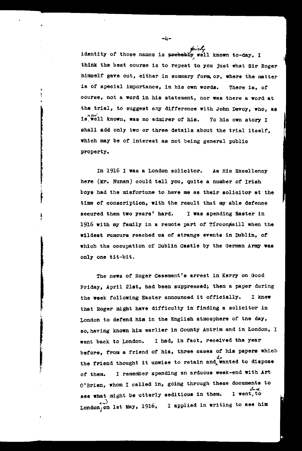identity of those names is prebably well known to-day, I think the best course is to repeat to you just what Sir Roger **himself gave out, either in summary torm,or, where the matter**  is of special importance, in hie own words. **There is, of course, not a word in his statement, nor wae there a word at**  the trial, to suggest any difference with John Devoy, who, as ,,,...,, **is,well known, was no admirer of his.** To his own story <sup>I</sup> shall add only two or three details about the trial itself. which may be of interest as not being general public property.

In 1916 I was a London solicitor. As His Excellency here (Mr. Nunan) could tell you, quite a number of Irish boys had the misfortune to have me as their eolicitor at the time of conscription, with the result that my able defence **secured them two years• hard.** I **was** spending Easter in 1916 with my family in a remote part of Tirconnaill when the **wildest rumours reached us of strange events in Dublin,** *or*  which the occupation of Dublin Castle by the Germen Army was only one tit-bit.

**The news of Roger Casement's arrest in Kerry on Good**  Friday, April 21st, had been suppressed; then a paper during the week following Easter announced it officially. I knew that Roger might have difficulty in finding a solicitor in London to defend him in the English atmosphere of the day, eo,having known him earlier in County Antrim and in London, I **went back to London, I bad, in fact, received the year**  before, from a friend of his, three cases of his papers which the friend thought it unwise to retain and wanted to dispose of them. **I remember spending an arduous week-end with Art**  O'Brien, whom I called in, going through these **documents to**  see what might be utterly seditious in them. I went, to London/on lst May, 1916, I applied in writing to see him

-4-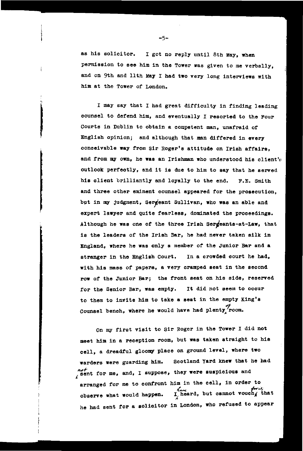as his solicitor. I got no reply until 8th May, when **permission to see him in the Tower was given to me verbally,**  and on 9th and 11th May I had two very long interviews with **him at the Tower of London.** 

<sup>I</sup>may say that I had great difficulty in finding leading **counsel to defend him, and eventually I resorted to the Four**  Courts in Dublin to obtain a competent man, unafraid of English opinion; and although that man differed in every conceivable way from sir Roger's attitude on Irish affairs, **and from my own, he was an Irishman who understood hie client's**  outlook perfectly, and it is due to him to say that he served his client brilliantly and loyally to the end. F.E. Smith **and three other eminent counsel appeared for the prosecution,**  but in my judgment, Sergeant Sullivan, who was an able and expert lawyer and quite fearless, dominated the proceedings. Although he was one of the three Irish Sergeants-at-Law, that is the leaders of the Irish Bar, he had never taken silk in **England, where he was only a member of the Junior Bar and a**  stranger in the Englioh court. In **a crowded court he had, with his mass of papers, a very cramped seat in the second row of the Junior Bar; the front seat on his side, reserved**  tor the Senior Bar, was empty. **It did not seem to occur**  to them to invite him to take a seat in the empty King's **counsel bench, where he would have had plenty room.** 

on my first visit to Sir Roger in the Tower I did not **meet him in a reception room, but was taken straight to his cell, a dreadful gloom;v place on ground level, where two**  warders were guarding him. Scotland Yard knew that he had ,~nt **for me, and, I suppose, they were suapicioua and**  arranged for me to confront him in the cell, in order to observe what would happen. I heard, but cannot vouch  $\pm$  that he had sent for a solicitor in London, who refused to appear

-5-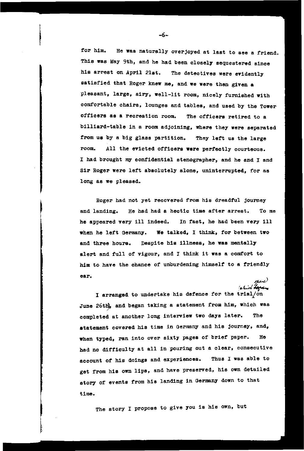for him. He was naturally overjoyed at last to see a friend. Thie was May 9th, and he had been closely sequestered since his arrest on April 2lat. The detectives were evidently satisfied that Roger knew me, and we were then given a pleasant, large, airy, well-lit room, nicely furnished with **comfortable chairs, lounges and tables, and used by the Tower officers as a recreation room.** The officers retired to a billiard-table in a room adjoining, where they were separated from us by a big glass partition. They left us the large **room.** All the evicted officers were perfectly courteous. I had brought my confidential stenographer, and he and I and Sir Roger were left absolutely alone, uninterrupted, for as long as we pleased.

Roger had not yet recovered from his dreadful journey and landing. He had had a hectic time after arrest. **To me**  he appeared very ill indeed. In fact, he had been very ill when he left Germany. We talked, I think, for between two **and three hours.** Despite his illness, he was mentally alert and full or vigour, and I think it was a comfort to him to have the chance of unburdening himself to a friendly ear. *state* 

I arranged to undertake his defence for the trial/on June 26th, and began taking a statement from him, which was completed at another long interview two deys later. The statement covered his time in Germany and his journey, and, when typed, ran into over sixty pages of brief paper. He had no difficulty at all in pouring out a clear, consecutive account or his doings and experiences. Thus I was able to get from his own lips, and have preserved, his own detailed story of events from his landing in Germany down to that time.

The story I propose to give you is his own, but

-6-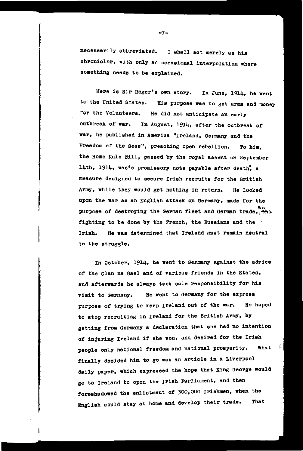necessarily abbreviated. I shall act merely as his **chronicler, with only an occasional interpolation where**  something needs to be explained.

Here is Sir Roger's own story. In June, 1914, he went to the United States. **His purpose was to get arms and money**  for the Volunteers. He did not anticipate an early outbreak *or* war. In August, 1914, after the outbreak of war, he published in America "Ireland, Germany and the Freedom of the Seas", preaching open rebellion. To him, the Home Rule Bill, paeeed by the royal assent on September 14th, 1914, was<sup>4</sup>a promissory note payable after death", a measure designed to secure Irish recruits for the British Army, while they would get nothing in return. He looked upon the war ae an English attack on Germany, made for the purpose of destroying the German fleet and German trade,  $\frac{K_{\text{free}}}{\Lambda}$ fighting to be done by the French, the Russians and the Irish. He was determined that Ireland must remain neutral in the struggle.

In October, 1914, he went to Germany against the advice of the Clan na Gael and of various friends in the States, and afterwards he always took sole responsibility for his visit to Germany. He went to Germany for the express purpose of trying to keep Ireland out of the war. He hoped to stop recruiting in Ireland for the British Army, by getting from Germany a declaration that she had no intention of injuring Ireland if she won, and desired for the Irish people only national freedom and national prosperity. What finally decided him to go was an article in a Liverpool daily paper, which expressed the hope that King George would go to Ireland to open the Irish Parliament, and then foreahadowed the enlistment of 300,000 Irishmen, when the English could stay at home and develop their trade. That

-7-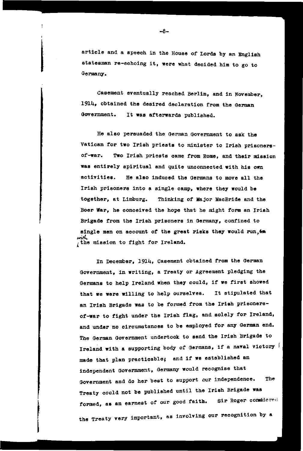article and a speech in the House of Lords by an English statesman re-eohoing it, were what decided him to go to **Germany.** 

**Casement eventually reached Berlin, and in November,**  1914, obtained the desired declaration from the German **Government.** It was afterwards published.

He also persuaded the German Government to ask the Vatican for two Irish priests to minister to Irish prisoners**of'-war.** Two Irish priests came from Rome, and their mission waa entirely spiritual and quite unconnected with his own activities. He alao induced the Germans to move all the Irish prisoners into a single camp, where they would be together, at Limburg. Thinking of Major MacBride and the Boer War, he conceived the hope that he might form an Irish Brigade from the Irish prisoners in Germany, confined to single men on account of the great risks they would run,  $\pm$ with<br>*the mission to fight for Ireland.* 

In December, 1914, casement obtained from the German Government, in writing, a Treaty or Agreement pledging the Germans to help Ireland when they could, if we first showed that we were willing to help ourselves. It stipulated that an Irish Brigade was to be formed from the Irish prisonersof-war to fight under the Irish flag, and solely for Ireland, **and under no circumstances to be employed tor any German end.**  The German Government undertook to send the Irish Brigade to Ireland with a supporting body of Germans, if a naval victory made that plan practicable; and if we established an **independent Government, Germany would recognise that**  Government and do her best to support our independence. The Treaty could not be published until the Irish Brigade was **formed, as an earnest of our good faith. Sir Roger considered** the Treaty yery important, as involving our recognition by a

-8-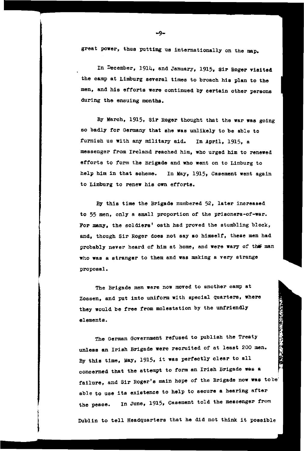great power, thue putting us internationally on the map.

In December, 1914, and January, 1915, Sir Roger visited the camp at Limburg several times to broach his plan to the men, and his efforts were continued by certain other persona during the ensuing months.

By March, 1915, Sir Roger thought that the war was going so badly for Germany that she was unlikely to be able to furnish us with any military aid. In April, 1915, <sup>a</sup> **messenger from Ireland reached him, who urged him to renewed**  efforts to form the Brigade and who went on to Limburg to help him in that scheme. In May, 1915, Casement went again to Limburg to renew his own efforts,

By this time the Brigade numbered 52, later increased to 55 men, only a small proportion of the prisoners-of-war. For many, the aoldiers' oath had proved the stumbling block, and, though Sir Roger does not say ao himself, these men had probably never heard of him at home, and were wary of the man **who was a stranger to them and was making a very strange**  proposal.

**The Brigade men were now moved to another camp at zossen, and put into uniform with special quarters, where**  they would be free from molestation by the unfriendly **elements.** 

The German Government refused to publish the Treaty unless an Irish Brigade were recruited of at least 200 men, By this time, May, 1915, it was perfectly clear to all concerned that the attempt to form an Irish Brigade was a failure, and Sir Roger's main hope of the Brigade now was tobe' able to use its existence to help to secure a hearing after the peace. **In June, 1915, Casement told the messenger from** 

Dublin to tell Headquarters that he did not think it possible

 $-9-$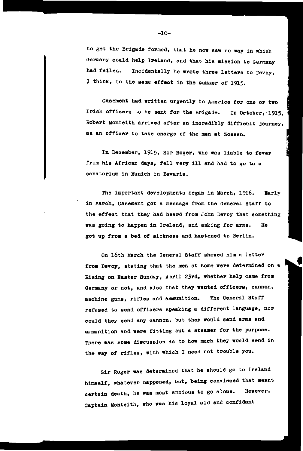**to get the Brigade formed, that he now saw no way in which**  Germany could help Ireland, and that his mission to Germany had failed. Incidentally he wrote three letters to Devoy, I think, to the same effect in the summer of 1915.

Casement had written urgently to America for one or two Irish officers to be sent for the Brigade. In October,·1915, Robert Monteith arrived after an incredibly difficult journey, as an officer to take charge of the men at Zossen.

In December, 1915, Sir Roger, who was liable to fever from hia African days, fell very ill and had to go to a sanatorium in Munich in Bavaria.

The important developments began in March, 1916. Early **in March, Casement got a message from the General Staff to**  the effect that they had heard from John Devoy that something was going to happen in Ireland, and asking for arms. He got up from a bed of sickness and hastened to Berlin.

On 16th March the General Staff showed him a letter from Devoy, stating that the men at home were determined on a Rising on Easter Sunday, April 23rd, whether help came from **Germany or not, and also that they wanted officera, cannon, machine guns, rifles and annnunition.** The General Staff refused to send officers speaking a different language, nor **could they send any cannon, but they would send arms and**  ammunition and were fitting out a steamer for the purpose. **There was some discussion as to how much they would send in**  the way of rifles, with which I need not trouble you.

Sir Roger was determined that he should go to Ireland himaelf, whatever happened, but, being convinced that meant **certain death, he was most anxious to go alone. However,**  captain Monteith, who was his loyal aid and confidant

-10-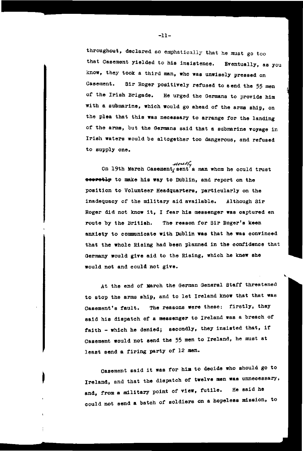throughout, declared so emphatically that he must go too that Casement yielded to his insistence. **Eventually, as you know, they took a third man, who was unwisely pressed on Casement.** Sir Roger positively refused to send the 55 men of the Irish Brigade. He urged the Germans to provide him with a submarine, which would go ahead of the arms ship, on the plea that this was necessary to arrange for the landing **of the arms, but the Germans said that a submarine Toyage in Irish waters would be altogether too dangerous, and refused**  to supply one.

On 19th March Casement, sent's man whom he could trust •••••~ly **to me.ke his way to Dublin, and report on the**  position to Volunteer Headquarters, particularly on the inadequacy of the military aid available. Although Sir **Roger did not know it, I fear hie messenger was captured en**  route by the British. **The reason for Sir Roger's keen**  anxiety to communicate with Dublin **was** that he was convinced that the whole Rising had been planned in the confidence that Germany would give aid to the Rising, which he knew she would not and could not give.

At the end of March the German General Staff threatened to stop the arms ship, and to let Ireland know that that was **Casement's fault. The reasons were these: firstly, they**  said his dispatch of a messenger to Ireland was a breach of faith - which he denied; secondly, they insisted that, if casement would not send the 55 men to Ireland, he must at least send a firing party of 12 men.

casement said it was for him to decide who should go to Ireland, and that the dispatch of twelve men was unnecessary, and, from a military point of view, futile. He said he could not send a batch of soldiers on a hopeless mission, to

-11-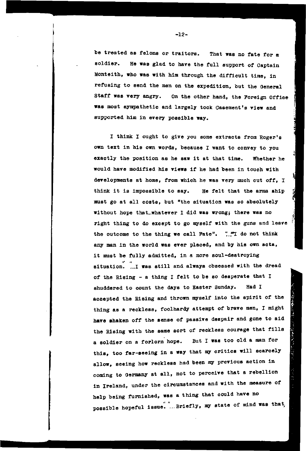be treated as felons or traitors. That was no fate for a soldier. He wae glad to have the full support of Captain Monteith, who was with him through the difficult time, in refusing to send the men on the expedition, but the General Staff was very angry. On the other hand, the Foreign Office **was** most sympathetic and largely took casement's view and supported him in every possible way.

I think I ought to give you some extracts from Roger's **own text in his own words, because I want to convey to you**  exactly the position as he saw it at that time. Whether he would have modified his views if he had been in touch with developments at home, from which he was very much cut off. I think it is impossible to eay. He felt that the arms ship must go at all costs, but "the situation was so absolutely without hope that whatever I did was wrong; there was no right thing to do except to go myself with the guns and leave the outcome to the thing we call Fate". "... "I do not think any man in the world was ever placed, and by his own acts, it must be fully admitted, in a more soul-destroying<br>situation.  $\ldots$  was still and always obsessed with the dread of the Rising - a thing I felt to be so desperate that I shuddered to count the days to Easter Sunday. Had I accepted the Rising and thrown myself into the spirit of the thing as a reckless, foolhardy attempt of brave men, I might have shaken off the sense of passive despair and gone to aid the Rising with the same sort of reckless courage that fills **a soldier on a forlorn hope.** But I was too old a man for this, too far-seeing in a way that my critics will scarcely **allow, seeing how reckless had been my previous action in**  coming to Germany at all, not to perceive that a rebellion **in Ireland, under the circumstances and with the measure** *ot*  help being furnished, was a thing that could have no possible hopeful issue. ... Briefly, my state of mind was that,

-12-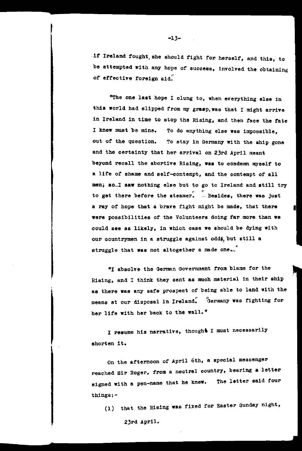.if Ireland fought, she should fight for herself, and this, to be attempted with any hope of success, involved the obtaining of effective foreign aid'.'

"The one last hope I clung to, when everything else in this world had slipped from my grasp, was that I might arrive in Ireland in time to stop the Rising, and then face the fate **I knew must be mine.**  out of the question. To stay in Germany with the ship gone To do anything else was impossible, and the certainty that her arrival on 23rd April meant beyond recall the abortive Rising, was to condemn myself to a life of shame and self-contempt, and the contempt of all men; so...I saw nothing else but to go to Ireland and still try to get there before the steamer<sup>"</sup>. <sup>"</sup> Besides, there was just a ray of hope that a brave fight might be made, that there ware possibilities of the Volunteers doing far more than we could see as likely, in which case we should be dying with our countrymen in a struggle against odd; but still a struggle that was not altogether a made one...

"I absolve the Germen Government from blame for the Rising, and I think they sent as much material in their ship as there was any safe prospect of being able to land with the **means at our disposal in** Ireland~· **'Germany was fighting for**  her life with her back to the wall."

I resume his narrative, thought I must necessarily shorten it,

on the afternoon of April 6th, a special messenger reached Sir **Roger, from a neutral country, bearing a letter**  signed with a pen-name that he knew. The letter said four things:-

(l) that the Rising was fixed for Easter Sunday night, 23rd April.

-13-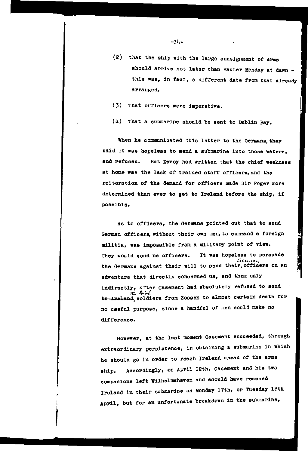- (2) that the ship with the large consignment of arma should arrive not later than Easter Monday at dawn this was, in fact, a different date from that already **arranged.**
- (3) That officers were imperative.
- (4) That a submarine should be sent to Dublin Bay.

When he communicated this letter to the Germans, they **said it was hopeless to send a submarine into those waters,**  and refused. But Devoy had written that the chief weakness at home was the lack of trained staff officers, and the reiteration of the demand for officers made Sir Roger more determined than ever to get to Ireland before the ship, if possible.

As to officers, the Germane pointed out that to send German officers, without their own men, to command a foreign militia, was impossible from a military point of view. They would send no officers. It was hopeless to persuade  $Cr 1.1$  *man* the Germans against their will to send their, officers on an adventure that directly concerned us, and them only **indirectly, after Casement had absolutely ret'used to send**  *11:.- J..:.t*  **\a** I»alaaQ~soldiers **from Zossen to almost certain death tor no usetul purpose, since a handful of men could make no**  difference.

I

**However, at the last moment Casement succeeded, through extraordinary persistence, in obtaining a submarine in which**  he should go in order to reach Ireland ahead of the arms ship. Accordingly, on April 12th, Casement and hie two companions left Wilhelmshaven and should have reached Ireland in their submarine on Monday 17th, or Tuesday 18th **April, but** *tor* **an unfortunate breakdown in the submarine,**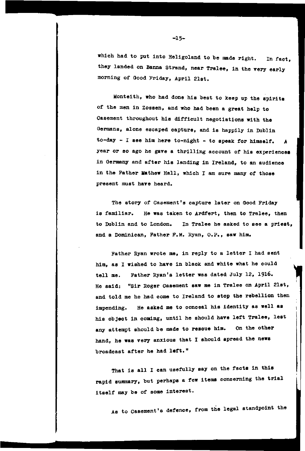which had to put into Heligoland to be made right. **In fact,**  they landed on Banna Strand, near Tralee, in the very early morning of Good Friday, April 2let.

Monteith, who had done his best to keep up the spirits of the men in Zossen, and who hed been a great help to Casement throughout his difficult negotiations with the Germane, alone escaped capture, end is heppily in Dublin to-day - I see him here to-night - to speak for himself. year or so ago he gave a thrilling account of his experiences in Germany and after his landing in Ireland, to en audience in the Father Mathew Hall, which I am sure many of those **present must haYe heard.** 

**The story of Casement's capture later on Good Friday**  is familiar. **He was taken to Ard:tert, then to Tralee, then**  to Dublin and to London. **In Tralee he asked to eee a prieet, and a Dominican, Father F.M. Ryan, O.P., saw him.** 

Father Ryan wrote me, in reply to a letter I had sent him, as I wished to have in black end white what he could tell me. Father Ryan's letter was dated July 12, 1916. He said: "Sir Roger casement saw me in Tralee on April 21st, and told me he hed come to Ireland to stop the rebellion then impending. He asked me to conceal his identity as well aa his object in coming, until he should have left Tralee, lest any attempt should be made to rescue him. On the other hand, he was very anxious that I should apread the news broadcast after he had left."

That is all I can usefully say on the facts in this rapid summary, but perhaps a few items concerning the trial itself may be of some interest.

*As* to casement's defence, from the legal standpoint the

-15-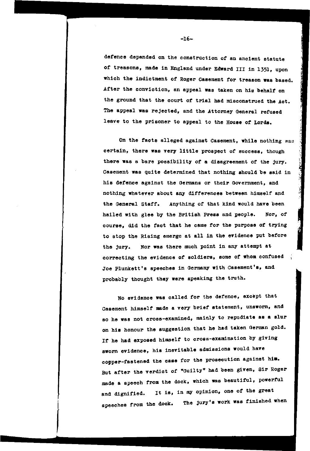**defence depended on the construction** *ot* **an ancient statute**  of treasons, made in England under Edward III in 1351, upon which the indictment of Roger Casement for treason was based, After the conviction, an appeal was taken on his behalf on the ground that the court of trial had misconstrued the Act. The appeal was rejected, and the Attorney General refused leave to the prisoner to appeal to the House of Lords.

On the facts alleged against Casement, while nothing was **certain, there was very little prospect of success, though**  there was a bare possibility of a disagreement of the jury, Casement was quite determined that nothing should be said in **hie defence against the Germans or their Government, and**  nothing whatever about any differences between himself and the General staff. Anything of that kind would have been hailed with glee by the British Preas and people. **Nor,** *ot*  course, did the fact that he came for the purpose of trying to stop the Rising emerge at all in the evidence put before the jury. Nor was there much point in any attempt at **correcting the evidence** *ot* **aoldiera, some** *ot* **whom confused Joe Plunkett ts speeches in Germany with Casement's, and**  probably thought they were speaking the truth.

**No evidence was called tor the defence, except that Casement himself made a very brief statement, unaworn, and so he was not cross-examined, ma.inly to repudiate as a slur**  on hie honour the suggestion that he had taken German gold, If he had exposed himself to cross-examination by giving **sworn evidence, his ineYitable admissions would haYe copper-fastened the case for the prosecution against him.**  But after the verdict of "Guilty" had been given, Sir Roger made a speech from the dock, which was beautiful, powerful and dignified. It is, in my opinion, one of the grea<sup>t</sup> **speeches trom the dock. The jury's work was tinished when** 

-16-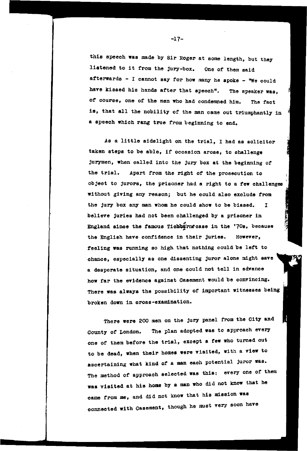this speech was made by Sir Roger at some length, but they listened to it from the jury-box, One of them said afterwards  $-$  I cannot say for how many he spoke  $-$  "We could have kissed his hands after that speech". **The speaker was, of course, one of the men who had condenmed him,** The fact is, that all the nobility of the man came out triumphantly in a speech which rang true from beginning to end.

As a little sidelight on the trial, I had as solicitor taken steps to be able, if occasion arose, to challenge jurymen, when called into the jury box at the beginning of the trial. Apart from the right of the prosecution to object to jurors, the prisoner had a right to a few challenges without giving any reason; but he could also exclude from the jury box any man whom he could show to be biased, <sup>I</sup> believe juries had not been challenged by a prisoner in England since the famous Tichburnecase in the '70s, because the English have confidence in their juries. **However,**  feeling was running so high that nothing could be left to chance, especially as one dissenting juror alone might save a desperate situation, and one could not tell in advance how far the evidence against Casement would be convincing. There was always the possibility of important witnesses being broken down in cross-examination.

There were 200 men on the jury panel from the City and County of London. The plan adopted was to approach every one of them before the trial, except a few who turned out to be dead, when their homes were visited, with a view to ascertaining what kind of a man each potential juror was. The method of approach selected was this: every one of them was visited at his home by a man who did not know that he came from me, and did not know that his mission was connected with casement, though he must very soon have

-17-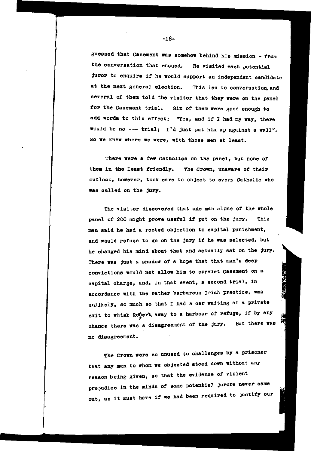guessed that Casement was somehow behind his mission - from the conversation that ensued, He visited each potential juror to enquire if he would support an independent candidate at the next general election. This led to conversation, and several of them told the visitor that they were on the panel for the Casement trial. Six of them were good enough to add worde to this effect: "Yes, and if I had my way, there would be no --- trial; I'd just put him up against a wall". **So we knew where we were, with those men at least.** 

There were a few Catholics on the panel, but none of them in the least friendly. The Crown, unaware of their **outlook, however, took care to object to every Catholic who**  was called on the jury.

**The visitor discovered that one msn alone of the whole**  panel of 200 might prove useful if put on the jury. This man said he had a rooted objection to capital punishment, and would refuse to go on the jury if he waa selected, but he changed his mind about that and actually sat on the jury, There was just a shadow of a hope that that man's deep **convictions would not allow him to convict Casement on a capital charge, and, in that event, a second trial, in accordance with the rather barbarous Irish practice, was**  unlikely, so much so that I had a car waiting at a private exit to whisk Rofert away to a harbour of refuge, if by any chance there was a disagreement of the jury. But there was **no disagreement.** 

I<br>I September 1984<br>I September 1984

i<br>interneting the control

**The crown were so unused to challenges by a prisoner**  that any man to whom we objected stood down without any reason being given, so that the evidence of violent prejudice in the minds of some potential jurors never came out, as it must have if we had been required to justify our

-18-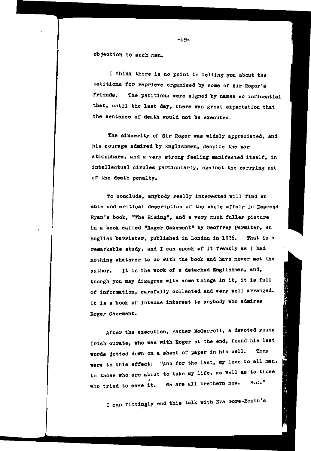objection to such men.

I think there is no point in telling you about the petitions for reprieve organised by some of Sir Roger's friends. The petitions were signed by names so influential that, until the last day, there was great expectation that the sentence of death would not be executed.

The sincerity of Sir Roger was widely appreciated, and his courage admired by Englishmen, despite the war atmosphere, and <sup>a</sup>very strong feeling manifested itself, in intellectual circles particularly, against the carrying out of the death penalty.

To conclude, anybody really interested will find an able and critical description of the whole affair in Desmond Ryan's book, "The Rising", and a Yery much fuller picture in a book called "Roger Casement" by Geoffrey Parmiter, an English barrister, published in London in 1936. That is a remarkable study, and I can speak or it frankly as I had nothing whatever to do with the book and have never met the author. It is the work or a detached Englishman, and, though you may disagree with some things in it, it is full of information, carefully collected and very well arranged. It is a book or intense interest to anybody who admires **Roger casement.** 

I

~

After the execution, Father McCarroll, a devoted young Irish curate, who **was** with Roger at the end, found his last words jotted down on a sheet of peper in hie cell. They **were** to this effect: "And for the last, my love to **all men,**  to those who **are about** to take my life, as well as to those who tried to **save it. We are all brethern now. R.C."** 

I can fittingly end this talk with Eva Gore-Booth's

-19-